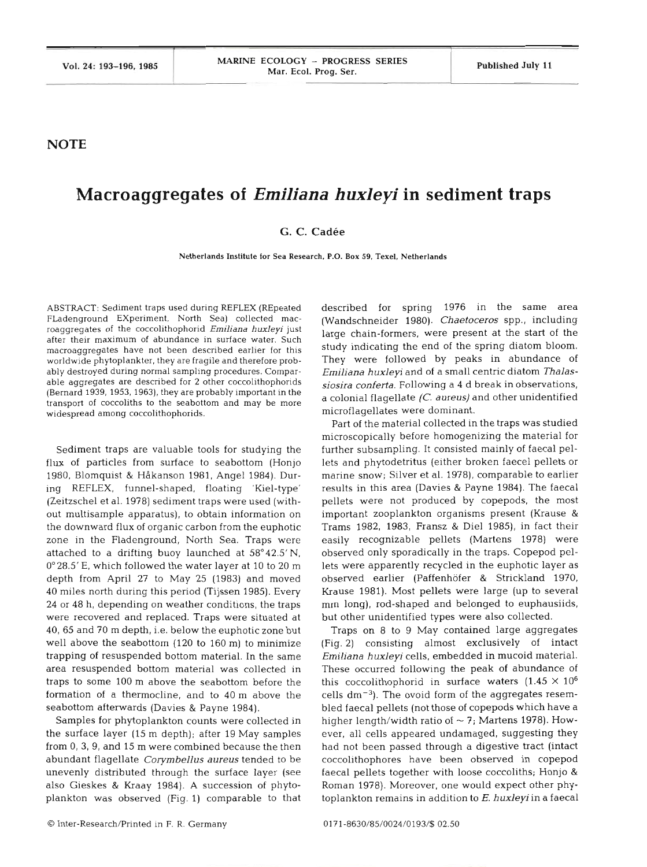**NOTE** 

## **Macroaggregates of Emiliana** *huxleyi* **in sediment traps**

## **G. C. Cadee**

**Netherlands Institute for Sea Research. P.O. Box 59. Texel, Netherlands** 

ABSTRACT: Sediment traps used during REFLEX (REpeated FLadenground Experiment. North Sea) collected macroaggregates of the coccolithophorid *Emiliana huxleyi* just after their maximum of abundance in surface water. S macroaggregates have not been described earlier for this worldwide phytoplankter, they are fragile and therefore probably destroyed during normal samphng procedures. Comparable aggregates are described for **2** other coccolithophorids (Bernard 1939, 1953, 1963), they are probably important in the transport of coccoliths to the seabottom and may be more widespread among coccolithophorids.

Sediment traps are valuable tools for studying the flux of particles from surface to seabottom (Honjo 1980, Blomquist & Håkanson 1981, Angel 1984). During REFLEX, funnel-shaped, floating 'Kiel-type' (Zeitzschel et al. 1978) sediment traps were used (without multisample apparatus), to obtain information on the downward flux of organic carbon from the euphotic zone in the Fladenground, North Sea. Traps were attached to a drifting buoy launched at 58'42.5'N, 0°28.5' E, which followed the water layer at l0 to 20 m depth from April 27 to May 25 (1983) and moved 40 miles north during this period (Tijssen 1985). Every 24 or 48 h, depending on weather conditions, the traps were recovered and replaced. Traps were situated at 40, 65 and 70 m depth, i.e. below the euphotic zone but well above the seabottom (120 to 160 m) to minimize trapping of resuspended bottom material. In the same area resuspended bottom material was collected in traps to some 100 m above the seabottom before the formation of a thermocline, and to 40 m above the seabottom afterwards (Davies & Payne 1984).

Samples for phytoplankton counts were collected in the surface layer (15 m depth); after 19 May samples from 0, 3, 9, and 15 m were combined because the then abundant flagellate *Corymbellus aureus* tended to be unevenly distributed through the surface layer (see also Gieskes & Kraay 1984). A succession of phytoplankton was observed (Fig. 1) comparable to that

described for spring 1976 in the same area (Wandschneider 1980). *Chaetoceros* spp., including large chain-formers, were present at the start of the study indicating the end of the spring diatom bloom. They were followed by peaks in abundance of *Emiliana huxleyi* and of a small centric diatom *Thalassiosira conferta.* Following a 4 d break in observations, a colonial flagellate *(C. aureus)* and other unidentified microflagellates were dominant.

Part of the material collected in the traps was studied microscopically before homogenizing the material for further subsampling. It consisted mainly of faecal pellets and phytodetritus (either broken faecel pellets or marine snow; Silver et al. 1978). comparable to earlier results in this area (Davies & Payne 1984). The faecal pellets were not produced by copepods, the most important zooplankton organisms present (Krause & Trams 1982, 1983, Fransz & Die1 1985), in fact their easily recognizable pellets (Martens 1978) were observed only sporadically in the traps. Copepod pellets were apparently recycled in the euphotic layer as observed earlier (Paffenhofer & Strickland 1970, Krause 1981). Most pellets were large (up to several mm long), rod-shaped and belonged to euphausiids, but other unidentified types were also collected.

Traps on 8 to 9 May contained large aggregates (Fig. 2) consisting almost exclusively of intact *Emiliana huxleyi* cells, embedded in mucoid material. These occurred following the peak of abundance of this coccolithophorid in surface waters  $(1.45 \times 10^6)$ cells  $dm^{-3}$ ). The ovoid form of the aggregates resembled faecal pellets (not those of copepods which have a higher length/width ratio of  $\sim$  7; Martens 1978). However, all cells appeared undamaged, suggesting they had not been passed through a digestive tract (intact coccolithophores have been observed in copepod faecal pellets together with loose coccoliths; Honjo & Roman 1978). Moreover, one would expect other phytoplankton remains in addition to E. *huxleyi* in a faecal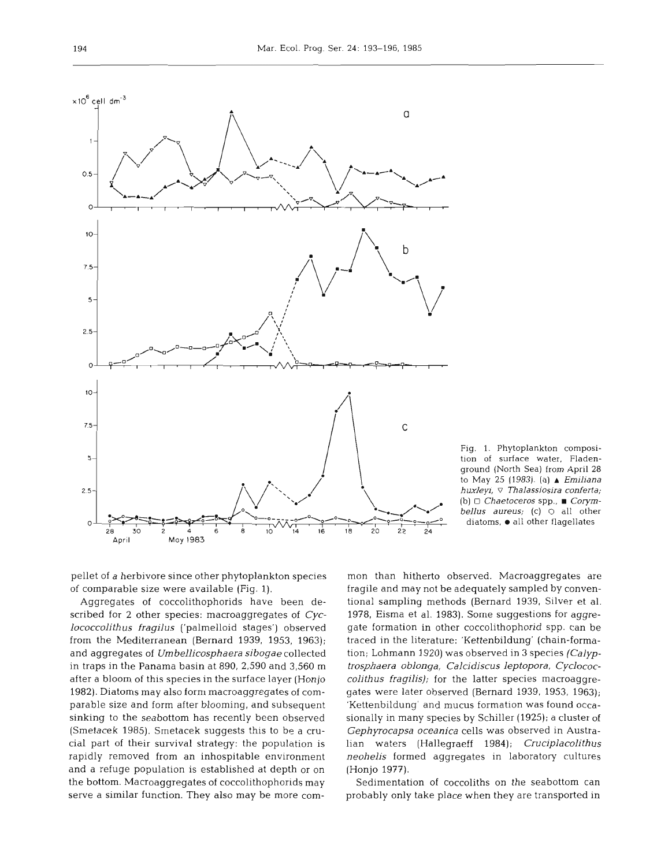

Fig. 1. Phytoplankton composition **of** surface water. Fladenground (North Sea) from April 28 to May 25 (1983). (a) A *Emiliana huxleyi,* **o** *Thalassiosira conferta; (b) Chaetoceros* spp., **m** *Corymbellus aureus; (c)* 0 all other  $diatoms$ ,  $\bullet$  all other flagellates

pellet of a herbivore since other phytoplankton species of comparable size were available (Fig. 1).

Aggregates of coccolithophorids have been described for **2** other species: macroaggregates of *Cyclococcolifhus fragilus* ('palmelloid stages') observed from the Mediterranean (Bernard 1939, 1953, 1963); and aggregates of *Umbellicosphaera sibogae* collected in traps in the Panama basin at 890, 2,590 and 3,560 m after a bloom of this species in the surface layer (Honjo 1982). Diatoms may also form macroaggregates of comparable size and form after blooming, and subsequent sinking to the seabottom has recently been observed (Smetacek 1985). Smetacek suggests this to be a crucial part of their survival strategy: the population is rapidly removed from an inhospitable environment and a refuge population is established at depth or on the bottom. Macroaggregates of coccolithophorids may serve a similar function. They also may be more com-

mon than hitherto observed. Macroaggregates are<br>ragile and may not be adequately sampled by conven-<br>ional sampling methods (Bernard 1939, Silver et al.<br>978, Eisma et al. 1983). Some suggestions for aggre-<br>gate formation in Gephyrocapsa oceanica cells was observed in Austra-<br>lian waters (Hallegraeff 1984); *Cruciplacolithus*<br>neohelis formed aggregates in laboratory cultures<br>(Honjo 1977).<br>Sedimentation of coccoliths on the seabottom can<br>probab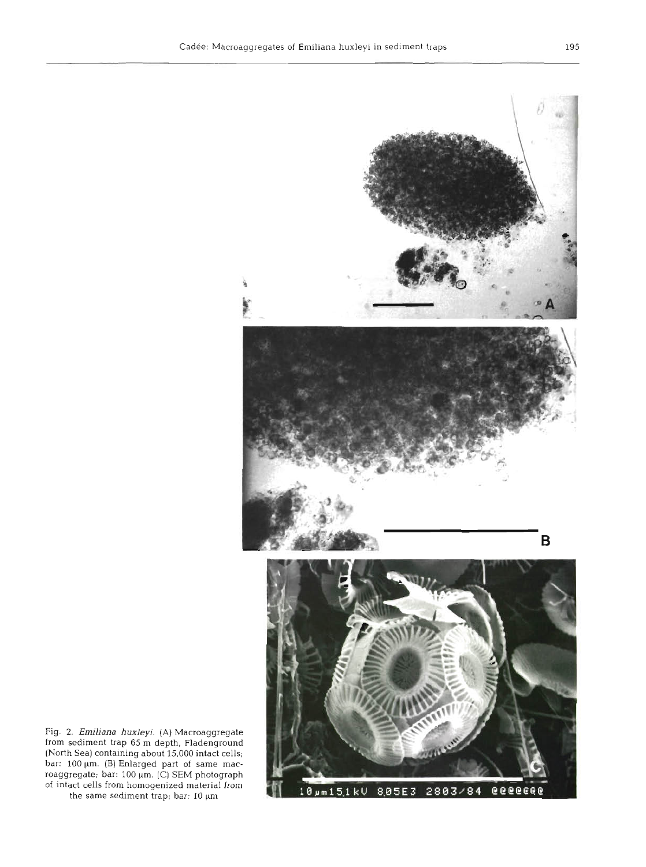